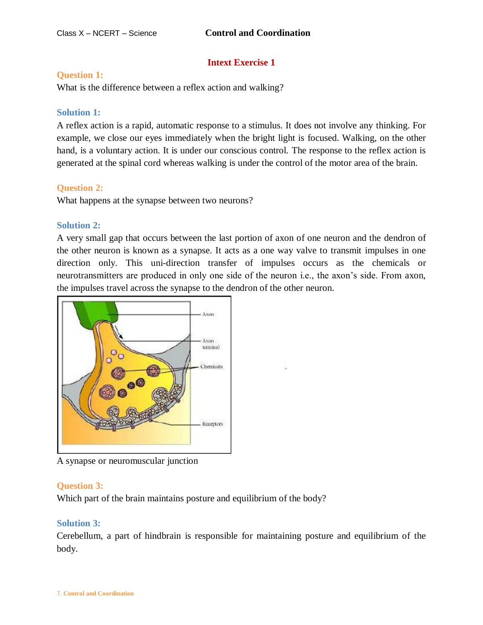# **Intext Exercise 1**

### **Question 1:**

What is the difference between a reflex action and walking?

## **Solution 1:**

A reflex action is a rapid, automatic response to a stimulus. It does not involve any thinking. For example, we close our eyes immediately when the bright light is focused. Walking, on the other hand, is a voluntary action. It is under our conscious control. The response to the reflex action is generated at the spinal cord whereas walking is under the control of the motor area of the brain.

## **Question 2:**

What happens at the synapse between two neurons?

## **Solution 2:**

A very small gap that occurs between the last portion of axon of one neuron and the dendron of the other neuron is known as a synapse. It acts as a one way valve to transmit impulses in one direction only. This uni-direction transfer of impulses occurs as the chemicals or neurotransmitters are produced in only one side of the neuron i.e., the axon's side. From axon, the impulses travel across the synapse to the dendron of the other neuron.



A synapse or neuromuscular junction

## **Question 3:**

Which part of the brain maintains posture and equilibrium of the body?

## **Solution 3:**

Cerebellum, a part of hindbrain is responsible for maintaining posture and equilibrium of the body.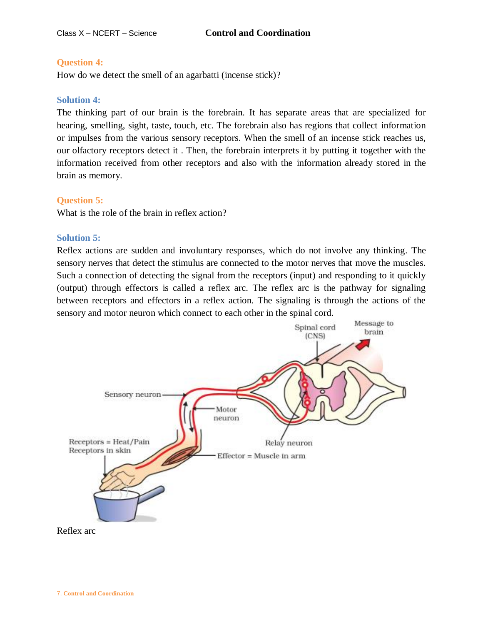## **Question 4:**

How do we detect the smell of an agarbatti (incense stick)?

## **Solution 4:**

The thinking part of our brain is the forebrain. It has separate areas that are specialized for hearing, smelling, sight, taste, touch, etc. The forebrain also has regions that collect information or impulses from the various sensory receptors. When the smell of an incense stick reaches us, our olfactory receptors detect it . Then, the forebrain interprets it by putting it together with the information received from other receptors and also with the information already stored in the brain as memory.

## **Question 5:**

What is the role of the brain in reflex action?

#### **Solution 5:**

Reflex actions are sudden and involuntary responses, which do not involve any thinking. The sensory nerves that detect the stimulus are connected to the motor nerves that move the muscles. Such a connection of detecting the signal from the receptors (input) and responding to it quickly (output) through effectors is called a reflex arc. The reflex arc is the pathway for signaling between receptors and effectors in a reflex action. The signaling is through the actions of the sensory and motor neuron which connect to each other in the spinal cord.



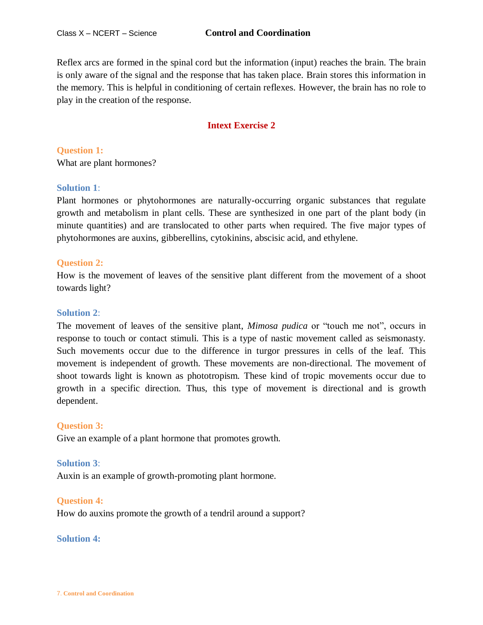Reflex arcs are formed in the spinal cord but the information (input) reaches the brain. The brain is only aware of the signal and the response that has taken place. Brain stores this information in the memory. This is helpful in conditioning of certain reflexes. However, the brain has no role to play in the creation of the response.

# **Intext Exercise 2**

**Question 1:** What are plant hormones?

## **Solution 1**:

Plant hormones or phytohormones are naturally-occurring organic substances that regulate growth and metabolism in plant cells. These are synthesized in one part of the plant body (in minute quantities) and are translocated to other parts when required. The five major types of phytohormones are auxins, gibberellins, cytokinins, abscisic acid, and ethylene.

## **Question 2:**

How is the movement of leaves of the sensitive plant different from the movement of a shoot towards light?

## **Solution 2**:

The movement of leaves of the sensitive plant, *Mimosa pudica* or "touch me not", occurs in response to touch or contact stimuli. This is a type of nastic movement called as seismonasty. Such movements occur due to the difference in turgor pressures in cells of the leaf. This movement is independent of growth. These movements are non-directional. The movement of shoot towards light is known as phototropism. These kind of tropic movements occur due to growth in a specific direction. Thus, this type of movement is directional and is growth dependent.

## **Question 3:**

Give an example of a plant hormone that promotes growth.

#### **Solution 3**:

Auxin is an example of growth-promoting plant hormone.

#### **Question 4:**

How do auxins promote the growth of a tendril around a support?

### **Solution 4:**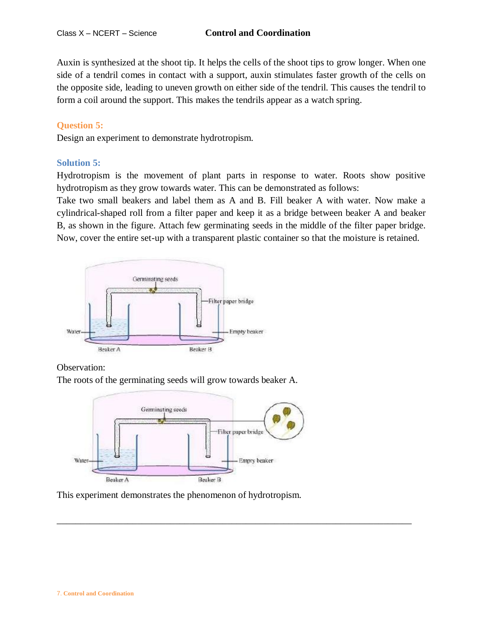Auxin is synthesized at the shoot tip. It helps the cells of the shoot tips to grow longer. When one side of a tendril comes in contact with a support, auxin stimulates faster growth of the cells on the opposite side, leading to uneven growth on either side of the tendril. This causes the tendril to form a coil around the support. This makes the tendrils appear as a watch spring.

## **Question 5:**

Design an experiment to demonstrate hydrotropism.

## **Solution 5:**

Hydrotropism is the movement of plant parts in response to water. Roots show positive hydrotropism as they grow towards water. This can be demonstrated as follows:

Take two small beakers and label them as A and B. Fill beaker A with water. Now make a cylindrical-shaped roll from a filter paper and keep it as a bridge between beaker A and beaker B, as shown in the figure. Attach few germinating seeds in the middle of the filter paper bridge. Now, cover the entire set-up with a transparent plastic container so that the moisture is retained.



Observation:

The roots of the germinating seeds will grow towards beaker A.



This experiment demonstrates the phenomenon of hydrotropism.

\_\_\_\_\_\_\_\_\_\_\_\_\_\_\_\_\_\_\_\_\_\_\_\_\_\_\_\_\_\_\_\_\_\_\_\_\_\_\_\_\_\_\_\_\_\_\_\_\_\_\_\_\_\_\_\_\_\_\_\_\_\_\_\_\_\_\_\_\_\_\_\_\_\_\_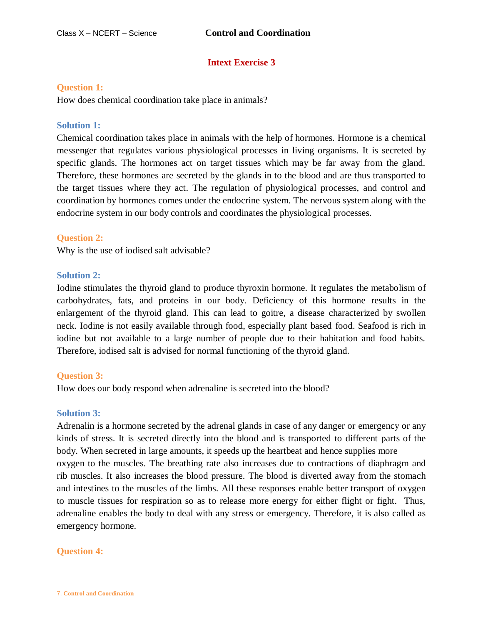# **Intext Exercise 3**

### **Question 1:**

How does chemical coordination take place in animals?

### **Solution 1:**

Chemical coordination takes place in animals with the help of hormones. Hormone is a chemical messenger that regulates various physiological processes in living organisms. It is secreted by specific glands. The hormones act on target tissues which may be far away from the gland. Therefore, these hormones are secreted by the glands in to the blood and are thus transported to the target tissues where they act. The regulation of physiological processes, and control and coordination by hormones comes under the endocrine system. The nervous system along with the endocrine system in our body controls and coordinates the physiological processes.

#### **Question 2:**

Why is the use of iodised salt advisable?

#### **Solution 2:**

Iodine stimulates the thyroid gland to produce thyroxin hormone. It regulates the metabolism of carbohydrates, fats, and proteins in our body. Deficiency of this hormone results in the enlargement of the thyroid gland. This can lead to goitre, a disease characterized by swollen neck. Iodine is not easily available through food, especially plant based food. Seafood is rich in iodine but not available to a large number of people due to their habitation and food habits. Therefore, iodised salt is advised for normal functioning of the thyroid gland.

## **Question 3:**

How does our body respond when adrenaline is secreted into the blood?

#### **Solution 3:**

Adrenalin is a hormone secreted by the adrenal glands in case of any danger or emergency or any kinds of stress. It is secreted directly into the blood and is transported to different parts of the body. When secreted in large amounts, it speeds up the heartbeat and hence supplies more oxygen to the muscles. The breathing rate also increases due to contractions of diaphragm and rib muscles. It also increases the blood pressure. The blood is diverted away from the stomach and intestines to the muscles of the limbs. All these responses enable better transport of oxygen to muscle tissues for respiration so as to release more energy for either flight or fight. Thus, adrenaline enables the body to deal with any stress or emergency. Therefore, it is also called as emergency hormone.

#### **Question 4:**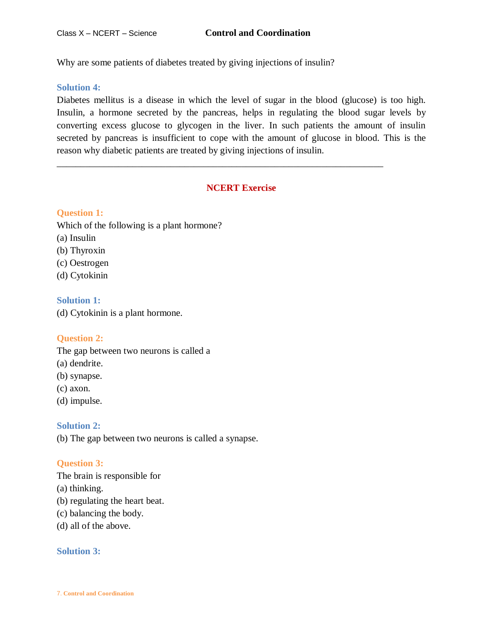Why are some patients of diabetes treated by giving injections of insulin?

## **Solution 4:**

Diabetes mellitus is a disease in which the level of sugar in the blood (glucose) is too high. Insulin, a hormone secreted by the pancreas, helps in regulating the blood sugar levels by converting excess glucose to glycogen in the liver. In such patients the amount of insulin secreted by pancreas is insufficient to cope with the amount of glucose in blood. This is the reason why diabetic patients are treated by giving injections of insulin.

# **NCERT Exercise**

\_\_\_\_\_\_\_\_\_\_\_\_\_\_\_\_\_\_\_\_\_\_\_\_\_\_\_\_\_\_\_\_\_\_\_\_\_\_\_\_\_\_\_\_\_\_\_\_\_\_\_\_\_\_\_\_\_\_\_\_\_\_\_\_\_\_\_\_\_

# **Question 1:**

Which of the following is a plant hormone?

- (a) Insulin
- (b) Thyroxin
- (c) Oestrogen
- (d) Cytokinin

# **Solution 1:**

(d) Cytokinin is a plant hormone.

# **Question 2:**

The gap between two neurons is called a

- (a) dendrite.
- (b) synapse.
- (c) axon.
- (d) impulse.

# **Solution 2:**

(b) The gap between two neurons is called a synapse.

# **Question 3:**

The brain is responsible for

- (a) thinking.
- (b) regulating the heart beat.
- (c) balancing the body.
- (d) all of the above.

# **Solution 3:**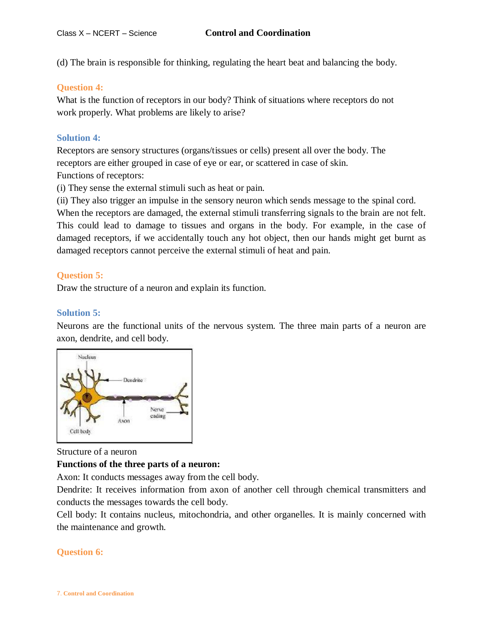(d) The brain is responsible for thinking, regulating the heart beat and balancing the body.

### **Question 4:**

What is the function of receptors in our body? Think of situations where receptors do not work properly. What problems are likely to arise?

## **Solution 4:**

Receptors are sensory structures (organs/tissues or cells) present all over the body. The receptors are either grouped in case of eye or ear, or scattered in case of skin. Functions of receptors:

(i) They sense the external stimuli such as heat or pain.

(ii) They also trigger an impulse in the sensory neuron which sends message to the spinal cord.

When the receptors are damaged, the external stimuli transferring signals to the brain are not felt. This could lead to damage to tissues and organs in the body. For example, in the case of damaged receptors, if we accidentally touch any hot object, then our hands might get burnt as damaged receptors cannot perceive the external stimuli of heat and pain.

#### **Question 5:**

Draw the structure of a neuron and explain its function.

## **Solution 5:**

Neurons are the functional units of the nervous system. The three main parts of a neuron are axon, dendrite, and cell body.



#### Structure of a neuron

#### **Functions of the three parts of a neuron:**

Axon: It conducts messages away from the cell body.

Dendrite: It receives information from axon of another cell through chemical transmitters and conducts the messages towards the cell body.

Cell body: It contains nucleus, mitochondria, and other organelles. It is mainly concerned with the maintenance and growth.

## **Question 6:**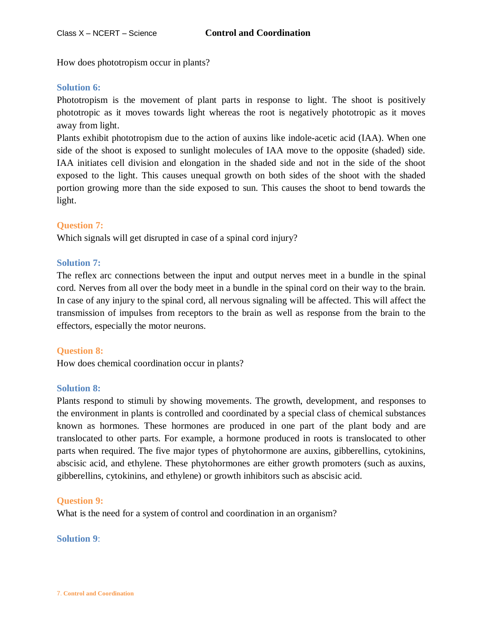How does phototropism occur in plants?

## **Solution 6:**

Phototropism is the movement of plant parts in response to light. The shoot is positively phototropic as it moves towards light whereas the root is negatively phototropic as it moves away from light.

Plants exhibit phototropism due to the action of auxins like indole-acetic acid (IAA). When one side of the shoot is exposed to sunlight molecules of IAA move to the opposite (shaded) side. IAA initiates cell division and elongation in the shaded side and not in the side of the shoot exposed to the light. This causes unequal growth on both sides of the shoot with the shaded portion growing more than the side exposed to sun. This causes the shoot to bend towards the light.

## **Question 7:**

Which signals will get disrupted in case of a spinal cord injury?

## **Solution 7:**

The reflex arc connections between the input and output nerves meet in a bundle in the spinal cord. Nerves from all over the body meet in a bundle in the spinal cord on their way to the brain. In case of any injury to the spinal cord, all nervous signaling will be affected. This will affect the transmission of impulses from receptors to the brain as well as response from the brain to the effectors, especially the motor neurons.

## **Question 8:**

How does chemical coordination occur in plants?

## **Solution 8:**

Plants respond to stimuli by showing movements. The growth, development, and responses to the environment in plants is controlled and coordinated by a special class of chemical substances known as hormones. These hormones are produced in one part of the plant body and are translocated to other parts. For example, a hormone produced in roots is translocated to other parts when required. The five major types of phytohormone are auxins, gibberellins, cytokinins, abscisic acid, and ethylene. These phytohormones are either growth promoters (such as auxins, gibberellins, cytokinins, and ethylene) or growth inhibitors such as abscisic acid.

## **Question 9:**

What is the need for a system of control and coordination in an organism?

## **Solution 9**: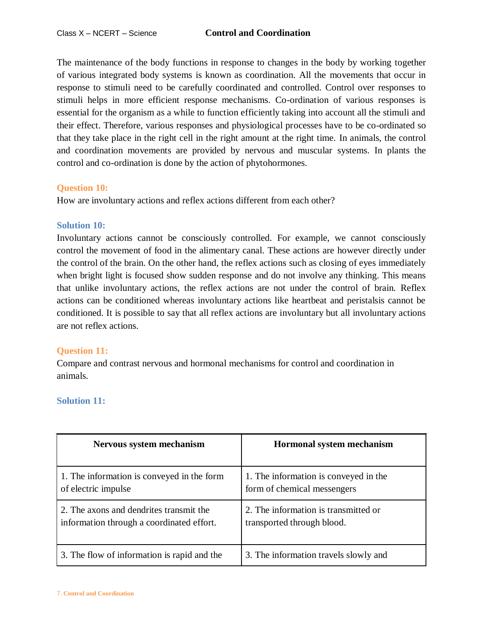The maintenance of the body functions in response to changes in the body by working together of various integrated body systems is known as coordination. All the movements that occur in response to stimuli need to be carefully coordinated and controlled. Control over responses to stimuli helps in more efficient response mechanisms. Co-ordination of various responses is essential for the organism as a while to function efficiently taking into account all the stimuli and their effect. Therefore, various responses and physiological processes have to be co-ordinated so that they take place in the right cell in the right amount at the right time. In animals, the control and coordination movements are provided by nervous and muscular systems. In plants the control and co-ordination is done by the action of phytohormones.

## **Question 10:**

How are involuntary actions and reflex actions different from each other?

## **Solution 10:**

Involuntary actions cannot be consciously controlled. For example, we cannot consciously control the movement of food in the alimentary canal. These actions are however directly under the control of the brain. On the other hand, the reflex actions such as closing of eyes immediately when bright light is focused show sudden response and do not involve any thinking. This means that unlike involuntary actions, the reflex actions are not under the control of brain. Reflex actions can be conditioned whereas involuntary actions like heartbeat and peristalsis cannot be conditioned. It is possible to say that all reflex actions are involuntary but all involuntary actions are not reflex actions.

## **Question 11:**

Compare and contrast nervous and hormonal mechanisms for control and coordination in animals.

## **Solution 11:**

| Nervous system mechanism                    | Hormonal system mechanism             |
|---------------------------------------------|---------------------------------------|
| 1. The information is conveyed in the form  | 1. The information is conveyed in the |
| of electric impulse                         | form of chemical messengers           |
| 2. The axons and dendrites transmit the     | 2. The information is transmitted or  |
| information through a coordinated effort.   | transported through blood.            |
| 3. The flow of information is rapid and the | 3. The information travels slowly and |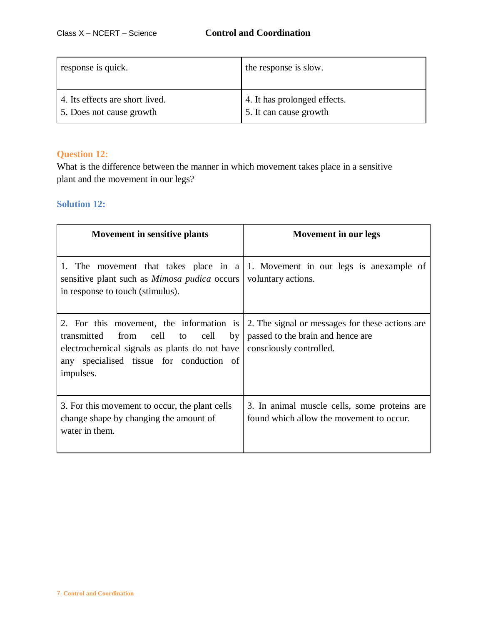| response is quick.              | the response is slow.        |
|---------------------------------|------------------------------|
| 4. Its effects are short lived. | 4. It has prolonged effects. |
| 5. Does not cause growth        | 5. It can cause growth       |

# **Question 12:**

What is the difference between the manner in which movement takes place in a sensitive plant and the movement in our legs?

# **Solution 12:**

| Movement in sensitive plants                                                                                                                                                                                 | Movement in our legs                                                                                            |
|--------------------------------------------------------------------------------------------------------------------------------------------------------------------------------------------------------------|-----------------------------------------------------------------------------------------------------------------|
| sensitive plant such as <i>Mimosa pudica</i> occurs<br>in response to touch (stimulus).                                                                                                                      | 1. The movement that takes place in a 1. Movement in our legs is an<br>example of<br>voluntary actions.         |
| 2. For this movement, the information is<br>from cell<br>to cell<br>by <sub>l</sub><br>transmitted<br>electrochemical signals as plants do not have<br>any specialised tissue for conduction of<br>impulses. | 2. The signal or messages for these actions are<br>passed to the brain and hence are<br>consciously controlled. |
| 3. For this movement to occur, the plant cells<br>change shape by changing the amount of<br>water in them.                                                                                                   | 3. In animal muscle cells, some proteins are<br>found which allow the movement to occur.                        |